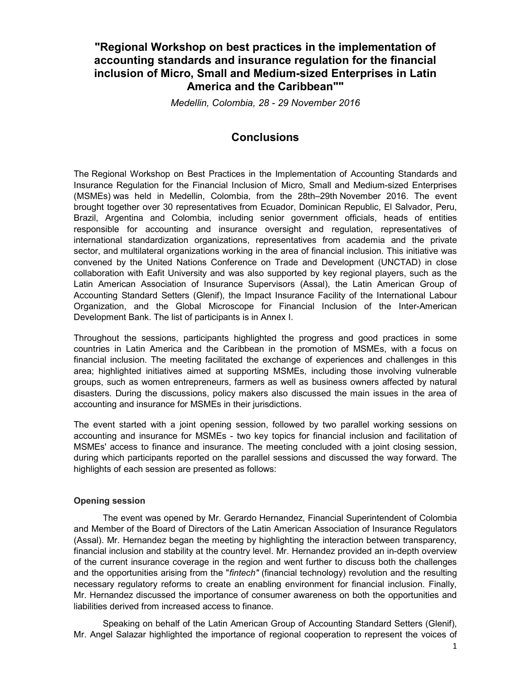# "Regional Workshop on best practices in the implementation of accounting standards and insurance regulation for the financial inclusion of Micro, Small and Medium-sized Enterprises in Latin America and the Caribbean""

Medellin, Colombia, 28 - 29 November 2016

# **Conclusions**

The Regional Workshop on Best Practices in the Implementation of Accounting Standards and Insurance Regulation for the Financial Inclusion of Micro, Small and Medium-sized Enterprises (MSMEs) was held in Medellin, Colombia, from the 28th–29th November 2016. The event brought together over 30 representatives from Ecuador, Dominican Republic, El Salvador, Peru, Brazil, Argentina and Colombia, including senior government officials, heads of entities responsible for accounting and insurance oversight and regulation, representatives of international standardization organizations, representatives from academia and the private sector, and multilateral organizations working in the area of financial inclusion. This initiative was convened by the United Nations Conference on Trade and Development (UNCTAD) in close collaboration with Eafit University and was also supported by key regional players, such as the Latin American Association of Insurance Supervisors (Assal), the Latin American Group of Accounting Standard Setters (Glenif), the Impact Insurance Facility of the International Labour Organization, and the Global Microscope for Financial Inclusion of the Inter-American Development Bank. The list of participants is in Annex I.

Throughout the sessions, participants highlighted the progress and good practices in some countries in Latin America and the Caribbean in the promotion of MSMEs, with a focus on financial inclusion. The meeting facilitated the exchange of experiences and challenges in this area; highlighted initiatives aimed at supporting MSMEs, including those involving vulnerable groups, such as women entrepreneurs, farmers as well as business owners affected by natural disasters. During the discussions, policy makers also discussed the main issues in the area of accounting and insurance for MSMEs in their jurisdictions.

The event started with a joint opening session, followed by two parallel working sessions on accounting and insurance for MSMEs - two key topics for financial inclusion and facilitation of MSMEs' access to finance and insurance. The meeting concluded with a joint closing session, during which participants reported on the parallel sessions and discussed the way forward. The highlights of each session are presented as follows:

### Opening session

The event was opened by Mr. Gerardo Hernandez, Financial Superintendent of Colombia and Member of the Board of Directors of the Latin American Association of Insurance Regulators (Assal). Mr. Hernandez began the meeting by highlighting the interaction between transparency, financial inclusion and stability at the country level. Mr. Hernandez provided an in-depth overview of the current insurance coverage in the region and went further to discuss both the challenges and the opportunities arising from the "fintech" (financial technology) revolution and the resulting necessary regulatory reforms to create an enabling environment for financial inclusion. Finally, Mr. Hernandez discussed the importance of consumer awareness on both the opportunities and liabilities derived from increased access to finance.

Speaking on behalf of the Latin American Group of Accounting Standard Setters (Glenif), Mr. Angel Salazar highlighted the importance of regional cooperation to represent the voices of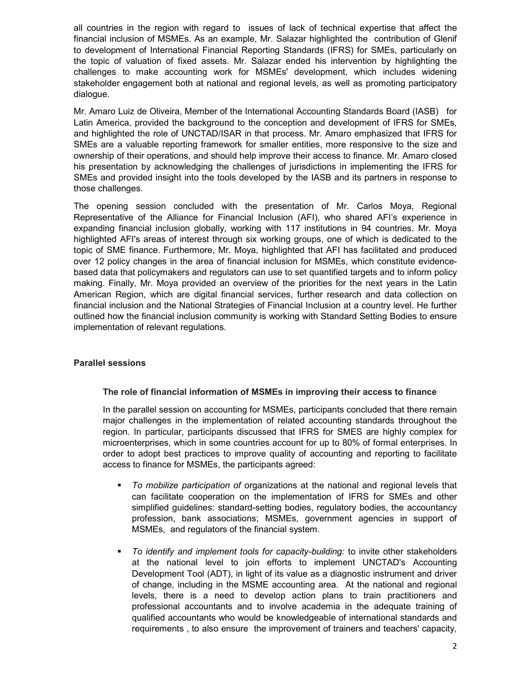all countries in the region with regard to issues of lack of technical expertise that affect the financial inclusion of MSMEs. As an example, Mr. Salazar highlighted the contribution of Glenif to development of International Financial Reporting Standards (IFRS) for SMEs, particularly on the topic of valuation of fixed assets. Mr. Salazar ended his intervention by highlighting the challenges to make accounting work for MSMEs' development, which includes widening stakeholder engagement both at national and regional levels, as well as promoting participatory dialogue.

Mr. Amaro Luiz de Oliveira, Member of the International Accounting Standards Board (IASB) for Latin America, provided the background to the conception and development of IFRS for SMEs, and highlighted the role of UNCTAD/ISAR in that process. Mr. Amaro emphasized that IFRS for SMEs are a valuable reporting framework for smaller entities, more responsive to the size and ownership of their operations, and should help improve their access to finance. Mr. Amaro closed his presentation by acknowledging the challenges of jurisdictions in implementing the IFRS for SMEs and provided insight into the tools developed by the IASB and its partners in response to those challenges.

The opening session concluded with the presentation of Mr. Carlos Moya, Regional Representative of the Alliance for Financial Inclusion (AFI), who shared AFI's experience in expanding financial inclusion globally, working with 117 institutions in 94 countries. Mr. Moya highlighted AFI's areas of interest through six working groups, one of which is dedicated to the topic of SME finance. Furthermore, Mr. Moya, highlighted that AFI has facilitated and produced over 12 policy changes in the area of financial inclusion for MSMEs, which constitute evidencebased data that policymakers and regulators can use to set quantified targets and to inform policy making. Finally, Mr. Moya provided an overview of the priorities for the next years in the Latin American Region, which are digital financial services, further research and data collection on financial inclusion and the National Strategies of Financial Inclusion at a country level. He further outlined how the financial inclusion community is working with Standard Setting Bodies to ensure implementation of relevant regulations.

### Parallel sessions

### The role of financial information of MSMEs in improving their access to finance

In the parallel session on accounting for MSMEs, participants concluded that there remain major challenges in the implementation of related accounting standards throughout the region. In particular, participants discussed that IFRS for SMES are highly complex for microenterprises, which in some countries account for up to 80% of formal enterprises. In order to adopt best practices to improve quality of accounting and reporting to facilitate access to finance for MSMEs, the participants agreed:

- To mobilize participation of organizations at the national and regional levels that can facilitate cooperation on the implementation of IFRS for SMEs and other simplified guidelines: standard-setting bodies, regulatory bodies, the accountancy profession, bank associations; MSMEs, government agencies in support of MSMEs, and regulators of the financial system.
- To identify and implement tools for capacity-building: to invite other stakeholders at the national level to join efforts to implement UNCTAD's Accounting Development Tool (ADT), in light of its value as a diagnostic instrument and driver of change, including in the MSME accounting area. At the national and regional levels, there is a need to develop action plans to train practitioners and professional accountants and to involve academia in the adequate training of qualified accountants who would be knowledgeable of international standards and requirements , to also ensure the improvement of trainers and teachers' capacity,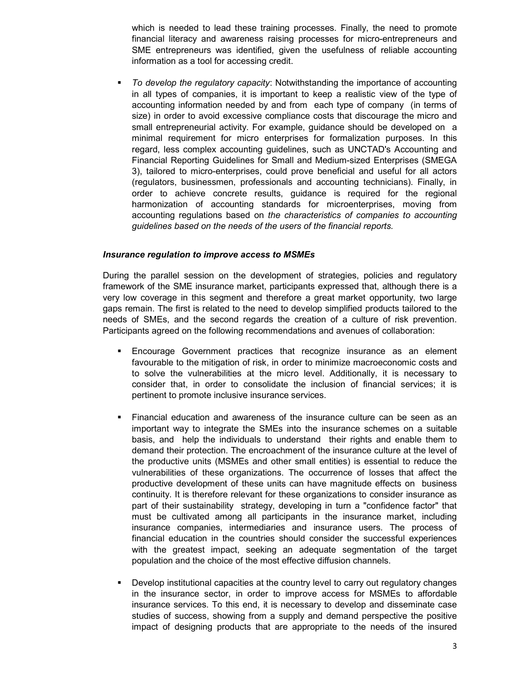which is needed to lead these training processes. Finally, the need to promote financial literacy and awareness raising processes for micro-entrepreneurs and SME entrepreneurs was identified, given the usefulness of reliable accounting information as a tool for accessing credit.

 To develop the regulatory capacity: Notwithstanding the importance of accounting in all types of companies, it is important to keep a realistic view of the type of accounting information needed by and from each type of company (in terms of size) in order to avoid excessive compliance costs that discourage the micro and small entrepreneurial activity. For example, guidance should be developed on a minimal requirement for micro enterprises for formalization purposes. In this regard, less complex accounting guidelines, such as UNCTAD's Accounting and Financial Reporting Guidelines for Small and Medium-sized Enterprises (SMEGA 3), tailored to micro-enterprises, could prove beneficial and useful for all actors (regulators, businessmen, professionals and accounting technicians). Finally, in order to achieve concrete results, guidance is required for the regional harmonization of accounting standards for microenterprises, moving from accounting regulations based on the characteristics of companies to accounting guidelines based on the needs of the users of the financial reports.

#### Insurance regulation to improve access to MSMEs

During the parallel session on the development of strategies, policies and regulatory framework of the SME insurance market, participants expressed that, although there is a very low coverage in this segment and therefore a great market opportunity, two large gaps remain. The first is related to the need to develop simplified products tailored to the needs of SMEs, and the second regards the creation of a culture of risk prevention. Participants agreed on the following recommendations and avenues of collaboration:

- Encourage Government practices that recognize insurance as an element favourable to the mitigation of risk, in order to minimize macroeconomic costs and to solve the vulnerabilities at the micro level. Additionally, it is necessary to consider that, in order to consolidate the inclusion of financial services; it is pertinent to promote inclusive insurance services.
- Financial education and awareness of the insurance culture can be seen as an important way to integrate the SMEs into the insurance schemes on a suitable basis, and help the individuals to understand their rights and enable them to demand their protection. The encroachment of the insurance culture at the level of the productive units (MSMEs and other small entities) is essential to reduce the vulnerabilities of these organizations. The occurrence of losses that affect the productive development of these units can have magnitude effects on business continuity. It is therefore relevant for these organizations to consider insurance as part of their sustainability strategy, developing in turn a "confidence factor" that must be cultivated among all participants in the insurance market, including insurance companies, intermediaries and insurance users. The process of financial education in the countries should consider the successful experiences with the greatest impact, seeking an adequate segmentation of the target population and the choice of the most effective diffusion channels.
- Develop institutional capacities at the country level to carry out regulatory changes in the insurance sector, in order to improve access for MSMEs to affordable insurance services. To this end, it is necessary to develop and disseminate case studies of success, showing from a supply and demand perspective the positive impact of designing products that are appropriate to the needs of the insured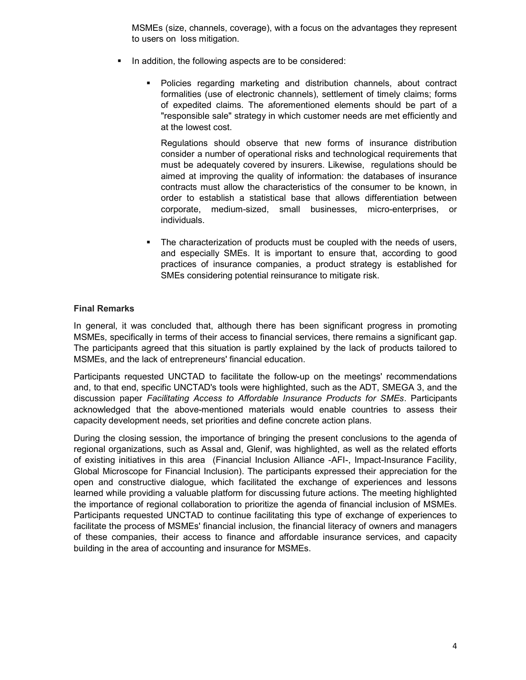MSMEs (size, channels, coverage), with a focus on the advantages they represent to users on loss mitigation.

- In addition, the following aspects are to be considered:
	- Policies regarding marketing and distribution channels, about contract formalities (use of electronic channels), settlement of timely claims; forms of expedited claims. The aforementioned elements should be part of a "responsible sale" strategy in which customer needs are met efficiently and at the lowest cost.

Regulations should observe that new forms of insurance distribution consider a number of operational risks and technological requirements that must be adequately covered by insurers. Likewise, regulations should be aimed at improving the quality of information: the databases of insurance contracts must allow the characteristics of the consumer to be known, in order to establish a statistical base that allows differentiation between corporate, medium-sized, small businesses, micro-enterprises, or individuals.

 The characterization of products must be coupled with the needs of users, and especially SMEs. It is important to ensure that, according to good practices of insurance companies, a product strategy is established for SMEs considering potential reinsurance to mitigate risk.

### Final Remarks

In general, it was concluded that, although there has been significant progress in promoting MSMEs, specifically in terms of their access to financial services, there remains a significant gap. The participants agreed that this situation is partly explained by the lack of products tailored to MSMEs, and the lack of entrepreneurs' financial education.

Participants requested UNCTAD to facilitate the follow-up on the meetings' recommendations and, to that end, specific UNCTAD's tools were highlighted, such as the ADT, SMEGA 3, and the discussion paper Facilitating Access to Affordable Insurance Products for SMEs. Participants acknowledged that the above-mentioned materials would enable countries to assess their capacity development needs, set priorities and define concrete action plans.

During the closing session, the importance of bringing the present conclusions to the agenda of regional organizations, such as Assal and, Glenif, was highlighted, as well as the related efforts of existing initiatives in this area (Financial Inclusion Alliance -AFI-, Impact-Insurance Facility, Global Microscope for Financial Inclusion). The participants expressed their appreciation for the open and constructive dialogue, which facilitated the exchange of experiences and lessons learned while providing a valuable platform for discussing future actions. The meeting highlighted the importance of regional collaboration to prioritize the agenda of financial inclusion of MSMEs. Participants requested UNCTAD to continue facilitating this type of exchange of experiences to facilitate the process of MSMEs' financial inclusion, the financial literacy of owners and managers of these companies, their access to finance and affordable insurance services, and capacity building in the area of accounting and insurance for MSMEs.